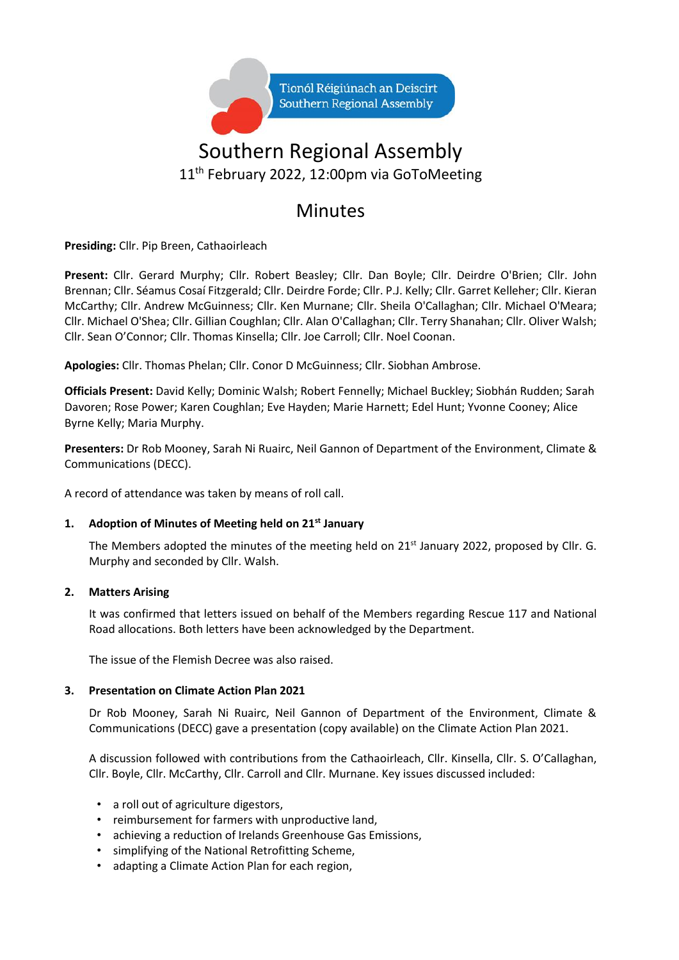

# Southern Regional Assembly 11<sup>th</sup> February 2022, 12:00pm via GoToMeeting

# Minutes

**Presiding:** Cllr. Pip Breen, Cathaoirleach

**Present:** Cllr. Gerard Murphy; Cllr. Robert Beasley; Cllr. Dan Boyle; Cllr. Deirdre O'Brien; Cllr. John Brennan; Cllr. Séamus Cosaí Fitzgerald; Cllr. Deirdre Forde; Cllr. P.J. Kelly; Cllr. Garret Kelleher; Cllr. Kieran McCarthy; Cllr. Andrew McGuinness; Cllr. Ken Murnane; Cllr. Sheila O'Callaghan; Cllr. Michael O'Meara; Cllr. Michael O'Shea; Cllr. Gillian Coughlan; Cllr. Alan O'Callaghan; Cllr. Terry Shanahan; Cllr. Oliver Walsh; Cllr. Sean O'Connor; Cllr. Thomas Kinsella; Cllr. Joe Carroll; Cllr. Noel Coonan.

**Apologies:** Cllr. Thomas Phelan; Cllr. Conor D McGuinness; Cllr. Siobhan Ambrose.

**Officials Present:** David Kelly; Dominic Walsh; Robert Fennelly; Michael Buckley; Siobhán Rudden; Sarah Davoren; Rose Power; Karen Coughlan; Eve Hayden; Marie Harnett; Edel Hunt; Yvonne Cooney; Alice Byrne Kelly; Maria Murphy.

**Presenters:** Dr Rob Mooney, Sarah Ni Ruairc, Neil Gannon of Department of the Environment, Climate & Communications (DECC).

A record of attendance was taken by means of roll call.

## **1. Adoption of Minutes of Meeting held on 21st January**

The Members adopted the minutes of the meeting held on 21<sup>st</sup> January 2022, proposed by Cllr. G. Murphy and seconded by Cllr. Walsh.

### **2. Matters Arising**

It was confirmed that letters issued on behalf of the Members regarding Rescue 117 and National Road allocations. Both letters have been acknowledged by the Department.

The issue of the Flemish Decree was also raised.

### **3. Presentation on Climate Action Plan 2021**

Dr Rob Mooney, Sarah Ni Ruairc, Neil Gannon of Department of the Environment, Climate & Communications (DECC) gave a presentation (copy available) on the Climate Action Plan 2021.

A discussion followed with contributions from the Cathaoirleach, Cllr. Kinsella, Cllr. S. O'Callaghan, Cllr. Boyle, Cllr. McCarthy, Cllr. Carroll and Cllr. Murnane. Key issues discussed included:

- a roll out of agriculture digestors,
- reimbursement for farmers with unproductive land,
- achieving a reduction of Irelands Greenhouse Gas Emissions,
- simplifying of the National Retrofitting Scheme,
- adapting a Climate Action Plan for each region,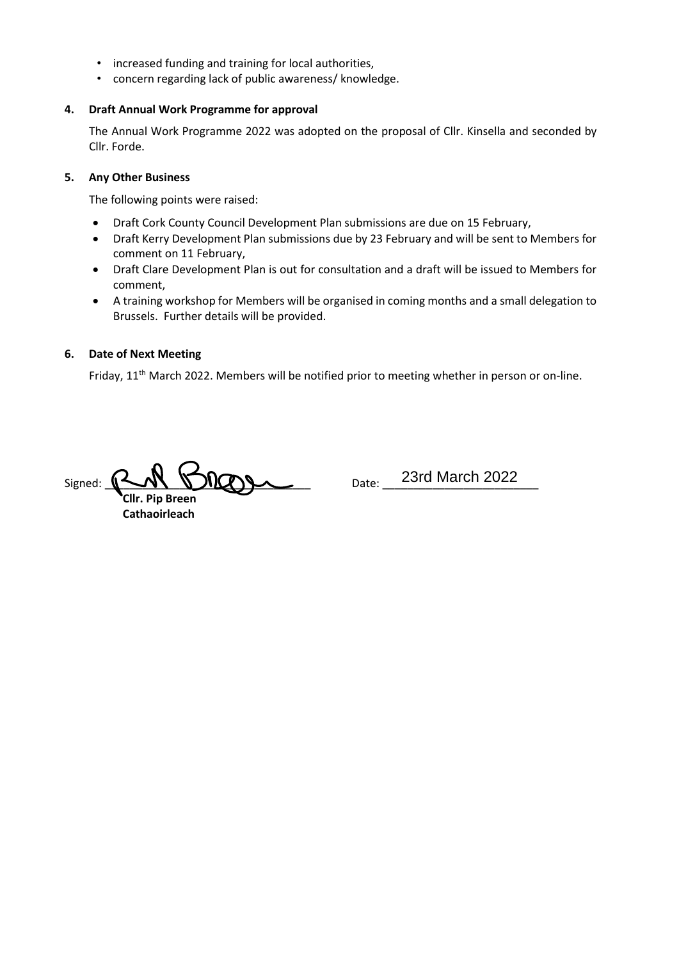- increased funding and training for local authorities,
- concern regarding lack of public awareness/ knowledge.

#### **4. Draft Annual Work Programme for approval**

The Annual Work Programme 2022 was adopted on the proposal of Cllr. Kinsella and seconded by Cllr. Forde.

#### **5. Any Other Business**

The following points were raised:

- Draft Cork County Council Development Plan submissions are due on 15 February,
- Draft Kerry Development Plan submissions due by 23 February and will be sent to Members for comment on 11 February,
- Draft Clare Development Plan is out for consultation and a draft will be issued to Members for comment,
- A training workshop for Members will be organised in coming months and a small delegation to Brussels. Further details will be provided.

#### **6. Date of Next Meeting**

Friday, 11<sup>th</sup> March 2022. Members will be notified prior to meeting whether in person or on-line.

 $Signed: P-N$ 

 **Cllr. Pip Breen Cathaoirleach**